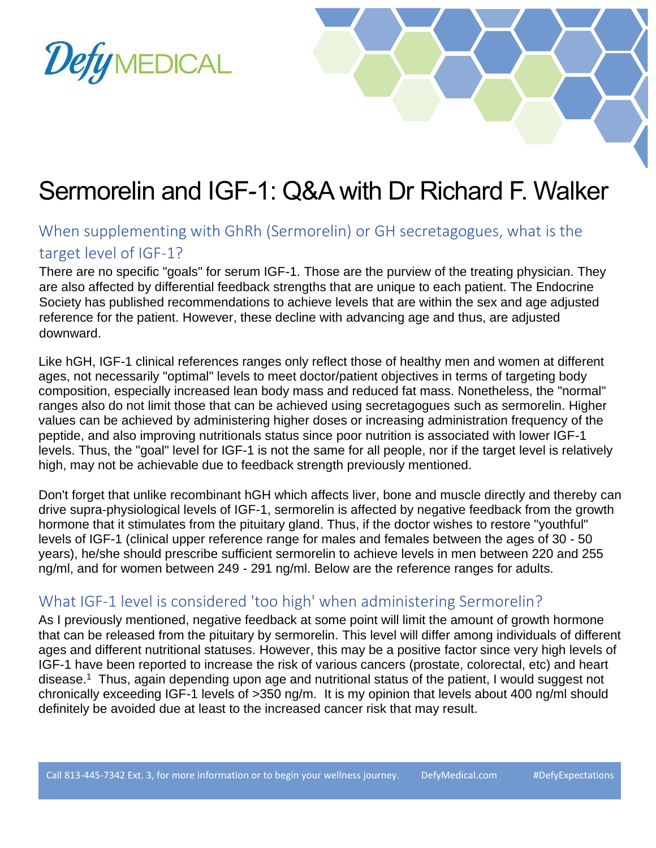



## Sermorelin and IGF-1: Q&A with Dr Richard F. Walker

## When supplementing with GhRh (Sermorelin) or GH secretagogues, what is the target level of IGF-1?

There are no specific "goals" for serum IGF-1. Those are the purview of the treating physician. They are also affected by differential feedback strengths that are unique to each patient. The Endocrine Society has published recommendations to achieve levels that are within the sex and age adjusted reference for the patient. However, these decline with advancing age and thus, are adjusted downward.

Like hGH, IGF-1 clinical references ranges only reflect those of healthy men and women at different ages, not necessarily "optimal" levels to meet doctor/patient objectives in terms of targeting body composition, especially increased lean body mass and reduced fat mass. Nonetheless, the "normal" ranges also do not limit those that can be achieved using secretagogues such as sermorelin. Higher values can be achieved by administering higher doses or increasing administration frequency of the peptide, and also improving nutritionals status since poor nutrition is associated with lower IGF-1 levels. Thus, the "goal" level for IGF-1 is not the same for all people, nor if the target level is relatively high, may not be achievable due to feedback strength previously mentioned.

Don't forget that unlike recombinant hGH which affects liver, bone and muscle directly and thereby can drive supra-physiological levels of IGF-1, sermorelin is affected by negative feedback from the growth hormone that it stimulates from the pituitary gland. Thus, if the doctor wishes to restore "youthful" levels of IGF-1 (clinical upper reference range for males and females between the ages of 30 - 50 years), he/she should prescribe sufficient sermorelin to achieve levels in men between 220 and 255 ng/ml, and for women between 249 - 291 ng/ml. Below are the reference ranges for adults.

## What IGF-1 level is considered 'too high' when administering Sermorelin?

As I previously mentioned, negative feedback at some point will limit the amount of growth hormone that can be released from the pituitary by sermorelin. This level will differ among individuals of different ages and different nutritional statuses. However, this may be a positive factor since very high levels of IGF-1 have been reported to increase the risk of various cancers (prostate, colorectal, etc) and heart disease.<sup>1</sup> Thus, again depending upon age and nutritional status of the patient, I would suggest not chronically exceeding IGF-1 levels of >350 ng/m. It is my opinion that levels about 400 ng/ml should definitely be avoided due at least to the increased cancer risk that may result.